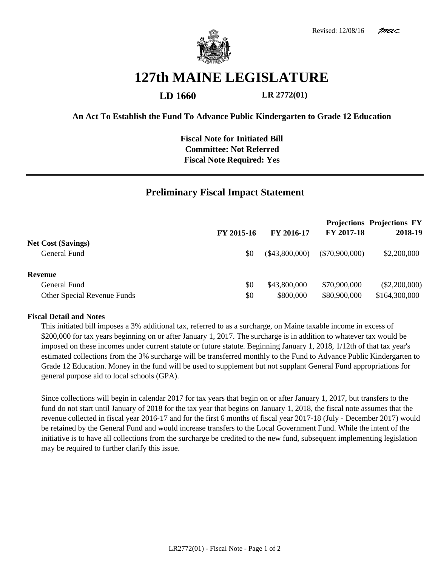

## **127th MAINE LEGISLATURE**

**LD 1660 LR 2772(01)**

**An Act To Establish the Fund To Advance Public Kindergarten to Grade 12 Education**

**Fiscal Note for Initiated Bill Committee: Not Referred Fiscal Note Required: Yes**

## **Preliminary Fiscal Impact Statement**

|                             | FY 2015-16<br>\$0 | <b>FY 2016-17</b><br>(\$43,800,000) | FY 2017-18<br>$(\$70,900,000)$ | <b>Projections Projections FY</b><br>2018-19<br>\$2,200,000 |
|-----------------------------|-------------------|-------------------------------------|--------------------------------|-------------------------------------------------------------|
| <b>Net Cost (Savings)</b>   |                   |                                     |                                |                                                             |
| General Fund                |                   |                                     |                                |                                                             |
| Revenue                     |                   |                                     |                                |                                                             |
| General Fund                | \$0               | \$43,800,000                        | \$70,900,000                   | $(\$2,200,000)$                                             |
| Other Special Revenue Funds | \$0               | \$800,000                           | \$80,900,000                   | \$164,300,000                                               |

## **Fiscal Detail and Notes**

This initiated bill imposes a 3% additional tax, referred to as a surcharge, on Maine taxable income in excess of \$200,000 for tax years beginning on or after January 1, 2017. The surcharge is in addition to whatever tax would be imposed on these incomes under current statute or future statute. Beginning January 1, 2018, 1/12th of that tax year's estimated collections from the 3% surcharge will be transferred monthly to the Fund to Advance Public Kindergarten to Grade 12 Education. Money in the fund will be used to supplement but not supplant General Fund appropriations for general purpose aid to local schools (GPA).

Since collections will begin in calendar 2017 for tax years that begin on or after January 1, 2017, but transfers to the fund do not start until January of 2018 for the tax year that begins on January 1, 2018, the fiscal note assumes that the revenue collected in fiscal year 2016-17 and for the first 6 months of fiscal year 2017-18 (July - December 2017) would be retained by the General Fund and would increase transfers to the Local Government Fund. While the intent of the initiative is to have all collections from the surcharge be credited to the new fund, subsequent implementing legislation may be required to further clarify this issue.